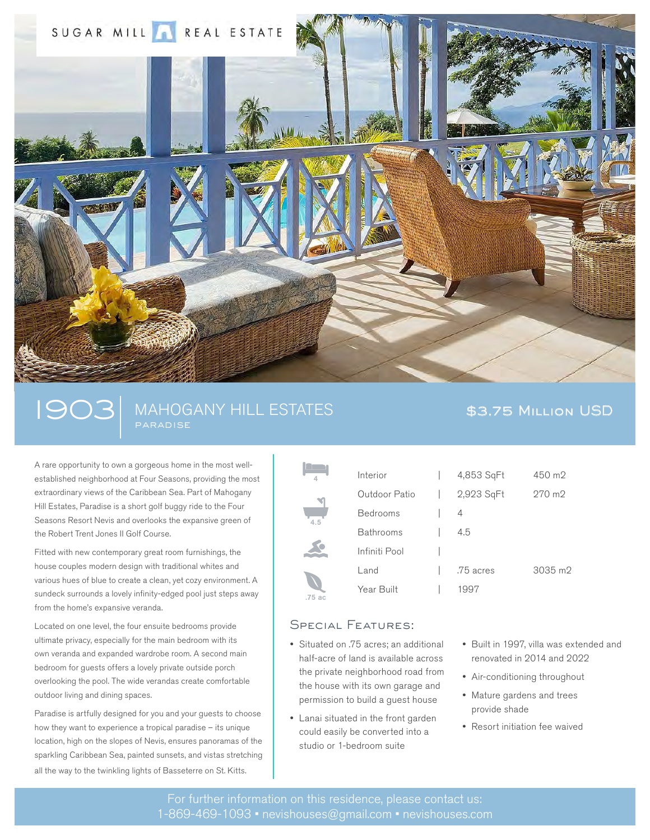

# 1903 MAHOGANY HILL ESTATES \$3.75 MILLION USD paradise

A rare opportunity to own a gorgeous home in the most wellestablished neighborhood at Four Seasons, providing the most extraordinary views of the Caribbean Sea. Part of Mahogany Hill Estates, Paradise is a short golf buggy ride to the Four Seasons Resort Nevis and overlooks the expansive green of the Robert Trent Jones II Golf Course.

Fitted with new contemporary great room furnishings, the house couples modern design with traditional whites and various hues of blue to create a clean, yet cozy environment. A sundeck surrounds a lovely infinity-edged pool just steps away from the home's expansive veranda.

Located on one level, the four ensuite bedrooms provide ultimate privacy, especially for the main bedroom with its own veranda and expanded wardrobe room. A second main bedroom for guests offers a lovely private outside porch overlooking the pool. The wide verandas create comfortable outdoor living and dining spaces.

Paradise is artfully designed for you and your guests to choose how they want to experience a tropical paradise – its unique location, high on the slopes of Nevis, ensures panoramas of the sparkling Caribbean Sea, painted sunsets, and vistas stretching all the way to the twinkling lights of Basseterre on St. Kitts.

| $\overline{4}$ | Interior         | 4,853 SqFt | 450 m2  |
|----------------|------------------|------------|---------|
|                | Outdoor Patio    | 2,923 SqFt | 270 m2  |
| 4.5            | <b>Bedrooms</b>  | 4          |         |
|                | <b>Bathrooms</b> | 4.5        |         |
|                | Infiniti Pool    |            |         |
| .75 ас         | $L$ and          | .75 acres  | 3035 m2 |
|                | Year Built       | 1997       |         |
|                |                  |            |         |

### Special Features:

- Situated on .75 acres; an additional half-acre of land is available across the private neighborhood road from the house with its own garage and permission to build a guest house
- Lanai situated in the front garden could easily be converted into a studio or 1-bedroom suite
- Built in 1997, villa was extended and renovated in 2014 and 2022
- Air-conditioning throughout
- Mature gardens and trees provide shade
- Resort initiation fee waived